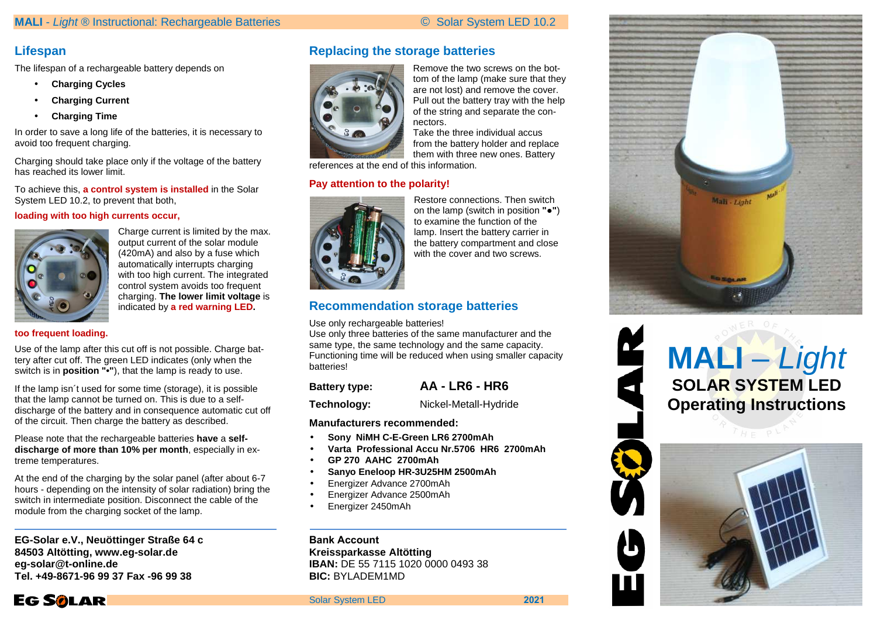## **Lifespan**

The lifespan of a rechargeable battery depends on

- **Charging Cycles**
- •**Charging Current**
- •**Charging Time**

In order to save a long life of the batteries, it is necessary to avoid too frequent charging.

Charging should take place only if the voltage of the battery has reached its lower limit.

To achieve this, **a control system is installed** in the Solar System LED 10.2, to prevent that both,

#### **loading with too high currents occur,**



Charge current is limited by the max. output current of the solar module (420mA) and also by a fuse which automatically interrupts charging with too high current. The integrated control system avoids too frequent charging. **The lower limit voltage** is indicated by **a red warning LED.** 

#### **too frequent loading.**

Use of the lamp after this cut off is not possible. Charge battery after cut off. The green LED indicates (only when the switch is in **position "•"**), that the lamp is ready to use.

If the lamp isn´t used for some time (storage), it is possible that the lamp cannot be turned on. This is due to a selfdischarge of the battery and in consequence automatic cut off of the circuit. Then charge the battery as described.

Please note that the rechargeable batteries **have** a **selfdischarge of more than 10% per month**, especially in extreme temperatures.

At the end of the charging by the solar panel (after about 6-7 hours - depending on the intensity of solar radiation) bring the switch in intermediate position. Disconnect the cable of the module from the charging socket of the lamp.

**EG-Solar e.V., Neuöttinger Straße 64 c 84503 Altötting, www.eg-solar.de eg-solar@t-online.de Tel. +49-8671-96 99 37 Fax -96 99 38**



## **Replacing the storage batteries**



Remove the two screws on the bottom of the lamp (make sure that they are not lost) and remove the cover. Pull out the battery tray with the help of the string and separate the connectors.

 Take the three individual accus from the battery holder and replace them with three new ones. Battery

references at the end of this information.

### **Pay attention to the polarity!**



Restore connections. Then switch on the lamp (switch in position **"●"**)to examine the function of the lamp. Insert the battery carrier in the battery compartment and close with the cover and two screws.

## **Recommendation storage batteries**

Use only rechargeable batteries!

 Use only three batteries of the same manufacturer and the same type, the same technology and the same capacity. Functioning time will be reduced when using smaller capacity batteries!

| <b>Battery type:</b> | <b>AA - LR6 - HR6</b> |
|----------------------|-----------------------|
| Technology:          | Nickel-Metall-Hydride |

#### **Manufacturers recommended:**

- •**Sony NiMH C-E-Green LR6 2700mAh**
- **Varta Professional Accu Nr.5706 HR6 2700mAh**•
- •**GP 270 AAHC 2700mAh**
- **Sanyo Eneloop HR-3U25HM 2500mAh**•
- •Energizer Advance 2700mAh
- Energizer Advance 2500mAh•
- •Energizer 2450mAh

**Bank Account Kreissparkasse Altötting IBAN:** DE 55 7115 1020 0000 0493 38 **BIC:** BYLADEM1MD